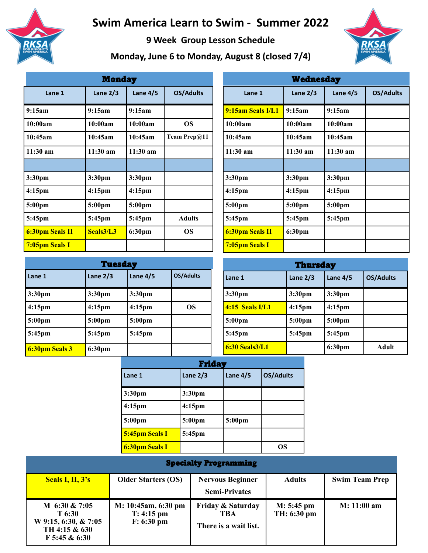

## **Swim America Learn to Swim - Summer 2022**

**9 Week Group Lesson Schedule** 

**Monday, June 6 to Monday, August 8 (closed 7/4)**



| <b>Monday</b>         |                    |                    |                  |
|-----------------------|--------------------|--------------------|------------------|
| Lane 1                | Lane $2/3$         | Lane $4/5$         | <b>OS/Adults</b> |
| 9:15am                | 9:15am             | 9:15am             |                  |
| 10:00am               | 10:00am            | 10:00am            | <b>OS</b>        |
| 10:45am               | 10:45am            | 10:45am            | Team Prep@11     |
| $11:30$ am            | $11:30$ am         | $11:30 \text{ am}$ |                  |
|                       |                    |                    |                  |
| 3:30pm                | 3:30pm             | 3:30pm             |                  |
| 4:15 <sub>pm</sub>    | 4:15 <sub>pm</sub> | 4:15 <sub>pm</sub> |                  |
| 5:00 <sub>pm</sub>    | 5:00 <sub>pm</sub> | 5:00pm             |                  |
| $5:45$ pm             | 5:45pm             | 5:45pm             | <b>Adults</b>    |
| 6:30pm Seals II       | Seals3/L3          | 6:30 <sub>pm</sub> | <b>OS</b>        |
| <b>7:05pm Seals I</b> |                    |                    |                  |

| <b>Tuesday</b>     |                    |            |                  |  |
|--------------------|--------------------|------------|------------------|--|
| Lane 1             | Lane $2/3$         | Lane $4/5$ | <b>OS/Adults</b> |  |
| 3:30 <sub>pm</sub> | 3:30pm             | 3:30pm     |                  |  |
| $4:15$ pm          | 4:15 <sub>pm</sub> | $4:15$ pm  | OS.              |  |
| $5:00 \text{pm}$   | 5:00pm             | 5:00pm     |                  |  |
| 5:45pm             | $5:45$ pm          | $5:45$ pm  |                  |  |
| 6:30pm Seals 3     | 6:30 <sub>pm</sub> |            |                  |  |

| w cancoad y            |                    |            |                  |
|------------------------|--------------------|------------|------------------|
| Lane 1                 | Lane $2/3$         | Lane $4/5$ | <b>OS/Adults</b> |
| 9:15am Seals I/L1      | 9:15am             | 9:15am     |                  |
| 10:00am                | 10:00am            | 10:00am    |                  |
| 10:45am                | 10:45am            | 10:45am    |                  |
| $11:30$ am             | $11:30$ am         | $11:30$ am |                  |
|                        |                    |            |                  |
| 3:30pm                 | 3:30pm             | 3:30pm     |                  |
| 4:15 <sub>pm</sub>     | 4:15 <sub>pm</sub> | $4:15$ pm  |                  |
| 5:00pm                 | 5:00pm             | 5:00pm     |                  |
| $5:45$ pm              | 5:45pm             | 5:45pm     |                  |
| <b>6:30pm Seals II</b> | 6:30pm             |            |                  |
| <b>7:05pm Seals I</b>  |                    |            |                  |

Wednesday

| <b>Thursday</b>     |                    |            |                  |
|---------------------|--------------------|------------|------------------|
| Lane 1              | Lane $2/3$         | Lane $4/5$ | <b>OS/Adults</b> |
| 3:30pm              | 3:30pm             | 3:30pm     |                  |
| $4:15$ Seals I/L1   | 4:15 <sub>pm</sub> | $4:15$ pm  |                  |
| 5:00 <sub>pm</sub>  | 5:00pm             | 5:00pm     |                  |
| $5:45$ pm           | $5:45$ pm          | $5:45$ pm  |                  |
| $6:30$ Seals $3/L1$ |                    | 6:30pm     | Adult            |

| <b>Friday</b>         |                    |            |                  |
|-----------------------|--------------------|------------|------------------|
| Lane 1                | Lane $2/3$         | Lane $4/5$ | <b>OS/Adults</b> |
| 3:30pm                | 3:30pm             |            |                  |
| $4:15$ pm             | 4:15 <sub>pm</sub> |            |                  |
| 5:00pm                | 5:00pm             | 5:00pm     |                  |
| <b>5:45pm Seals I</b> | $5:45$ pm          |            |                  |
| 6:30pm Seals I        |                    |            | OS               |

| <b>Specialty Programming</b>                                                        |                                                     |                                                   |                           |                       |  |
|-------------------------------------------------------------------------------------|-----------------------------------------------------|---------------------------------------------------|---------------------------|-----------------------|--|
| <b>Seals I, II, 3's</b>                                                             | <b>Older Starters (OS)</b>                          | <b>Nervous Beginner</b><br><b>Semi-Privates</b>   | <b>Adults</b>             | <b>Swim Team Prep</b> |  |
| M 6:30 & 7:05<br>T 6:30<br>W 9:15, 6:30, & 7:05<br>TH 4:15 & 630<br>$F$ 5:45 & 6:30 | M: 10:45am, 6:30 pm<br>$T: 4:15$ pm<br>$F: 6:30$ pm | Friday & Saturday<br>TBA<br>There is a wait list. | M: 5:45 pm<br>TH: 6:30 pm | $M: 11:00$ am         |  |